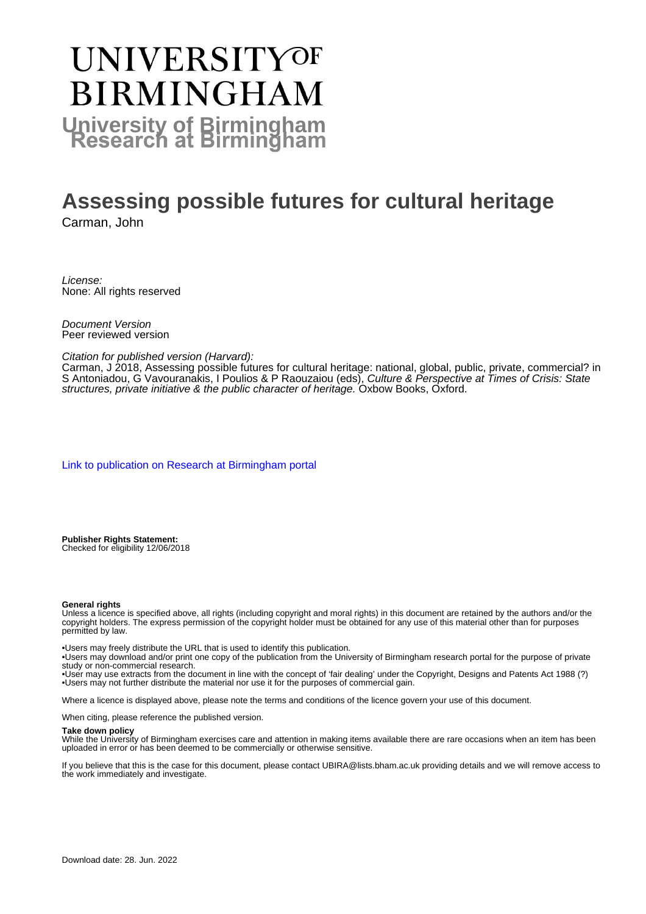# **UNIVERSITYOF BIRMINGHAM University of Birmingham**

# **Assessing possible futures for cultural heritage**

Carman, John

License: None: All rights reserved

Document Version Peer reviewed version

#### Citation for published version (Harvard):

Carman, J 2018, Assessing possible futures for cultural heritage: national, global, public, private, commercial? in S Antoniadou, G Vavouranakis, I Poulios & P Raouzaiou (eds), Culture & Perspective at Times of Crisis: State structures, private initiative & the public character of heritage. Oxbow Books, Oxford.

[Link to publication on Research at Birmingham portal](https://birmingham.elsevierpure.com/en/publications/d016f5d2-f7b6-433c-b422-76e12995dbf7)

**Publisher Rights Statement:** Checked for eligibility 12/06/2018

#### **General rights**

Unless a licence is specified above, all rights (including copyright and moral rights) in this document are retained by the authors and/or the copyright holders. The express permission of the copyright holder must be obtained for any use of this material other than for purposes permitted by law.

• Users may freely distribute the URL that is used to identify this publication.

• Users may download and/or print one copy of the publication from the University of Birmingham research portal for the purpose of private study or non-commercial research.

• User may use extracts from the document in line with the concept of 'fair dealing' under the Copyright, Designs and Patents Act 1988 (?) • Users may not further distribute the material nor use it for the purposes of commercial gain.

Where a licence is displayed above, please note the terms and conditions of the licence govern your use of this document.

When citing, please reference the published version.

#### **Take down policy**

While the University of Birmingham exercises care and attention in making items available there are rare occasions when an item has been uploaded in error or has been deemed to be commercially or otherwise sensitive.

If you believe that this is the case for this document, please contact UBIRA@lists.bham.ac.uk providing details and we will remove access to the work immediately and investigate.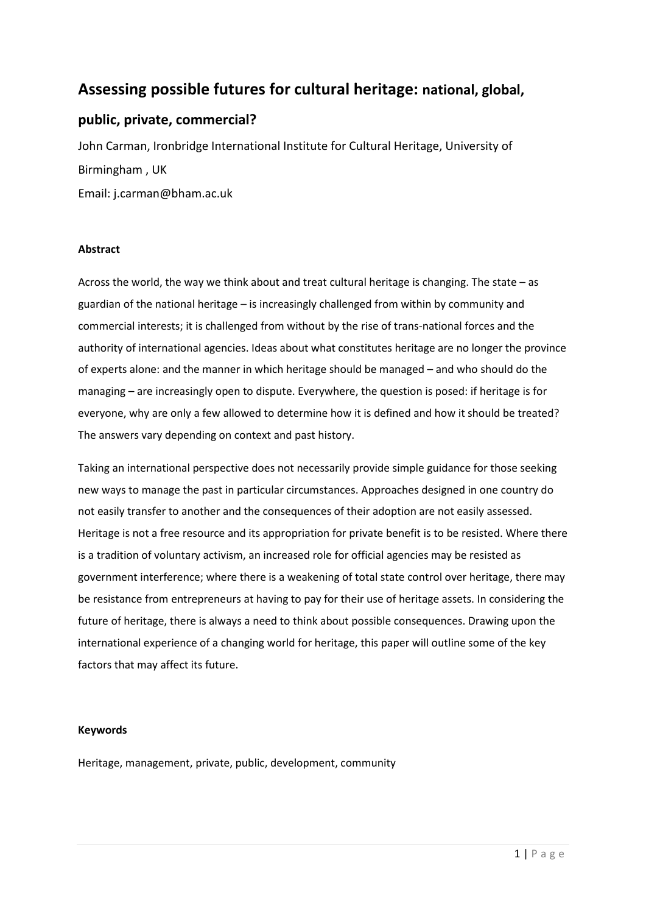# **Assessing possible futures for cultural heritage: national, global,**

## **public, private, commercial?**

John Carman, Ironbridge International Institute for Cultural Heritage, University of Birmingham , UK Email: [j.carman@bham.ac.uk](mailto:j.carman@bham.ac.uk)

#### **Abstract**

Across the world, the way we think about and treat cultural heritage is changing. The state – as guardian of the national heritage – is increasingly challenged from within by community and commercial interests; it is challenged from without by the rise of trans-national forces and the authority of international agencies. Ideas about what constitutes heritage are no longer the province of experts alone: and the manner in which heritage should be managed – and who should do the managing – are increasingly open to dispute. Everywhere, the question is posed: if heritage is for everyone, why are only a few allowed to determine how it is defined and how it should be treated? The answers vary depending on context and past history.

Taking an international perspective does not necessarily provide simple guidance for those seeking new ways to manage the past in particular circumstances. Approaches designed in one country do not easily transfer to another and the consequences of their adoption are not easily assessed. Heritage is not a free resource and its appropriation for private benefit is to be resisted. Where there is a tradition of voluntary activism, an increased role for official agencies may be resisted as government interference; where there is a weakening of total state control over heritage, there may be resistance from entrepreneurs at having to pay for their use of heritage assets. In considering the future of heritage, there is always a need to think about possible consequences. Drawing upon the international experience of a changing world for heritage, this paper will outline some of the key factors that may affect its future.

#### **Keywords**

Heritage, management, private, public, development, community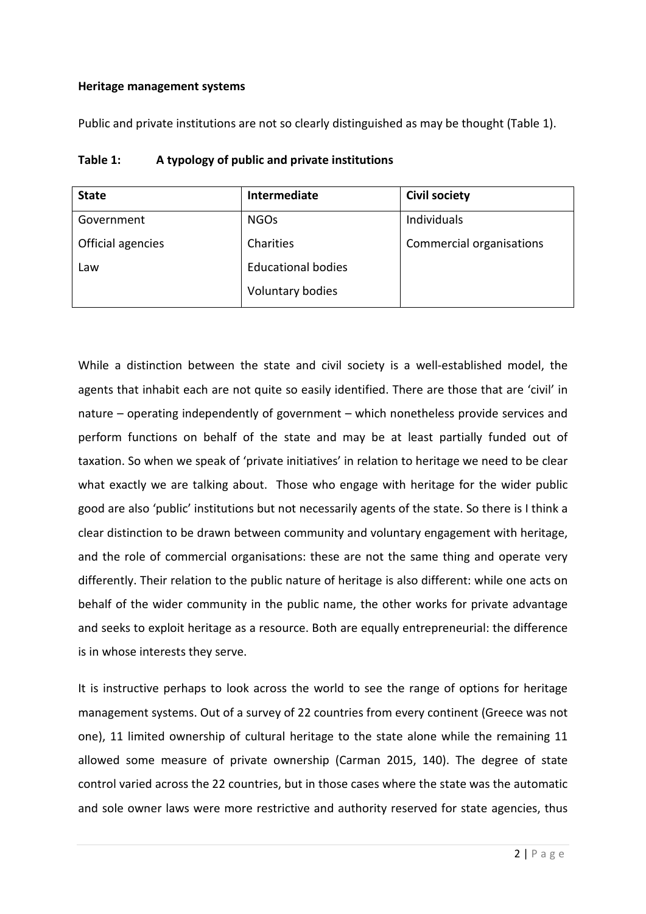#### **Heritage management systems**

Public and private institutions are not so clearly distinguished as may be thought (Table 1).

| <b>State</b>      | Intermediate                          | <b>Civil society</b> |  |
|-------------------|---------------------------------------|----------------------|--|
| Government        | <b>NGOs</b>                           | Individuals          |  |
| Official agencies | Commercial organisations<br>Charities |                      |  |
| Law               | <b>Educational bodies</b>             |                      |  |
|                   | Voluntary bodies                      |                      |  |

| Table 1: | A typology of public and private institutions |
|----------|-----------------------------------------------|
|----------|-----------------------------------------------|

While a distinction between the state and civil society is a well-established model, the agents that inhabit each are not quite so easily identified. There are those that are 'civil' in nature – operating independently of government – which nonetheless provide services and perform functions on behalf of the state and may be at least partially funded out of taxation. So when we speak of 'private initiatives' in relation to heritage we need to be clear what exactly we are talking about. Those who engage with heritage for the wider public good are also 'public' institutions but not necessarily agents of the state. So there is I think a clear distinction to be drawn between community and voluntary engagement with heritage, and the role of commercial organisations: these are not the same thing and operate very differently. Their relation to the public nature of heritage is also different: while one acts on behalf of the wider community in the public name, the other works for private advantage and seeks to exploit heritage as a resource. Both are equally entrepreneurial: the difference is in whose interests they serve.

It is instructive perhaps to look across the world to see the range of options for heritage management systems. Out of a survey of 22 countries from every continent (Greece was not one), 11 limited ownership of cultural heritage to the state alone while the remaining 11 allowed some measure of private ownership (Carman 2015, 140). The degree of state control varied across the 22 countries, but in those cases where the state was the automatic and sole owner laws were more restrictive and authority reserved for state agencies, thus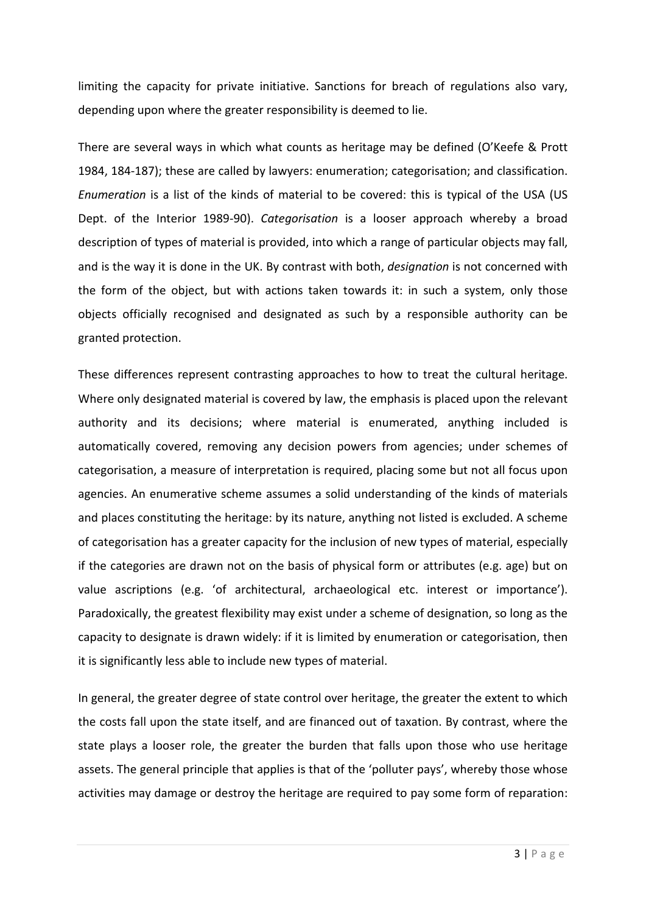limiting the capacity for private initiative. Sanctions for breach of regulations also vary, depending upon where the greater responsibility is deemed to lie.

There are several ways in which what counts as heritage may be defined (O'Keefe & Prott 1984, 184-187); these are called by lawyers: enumeration; categorisation; and classification. *Enumeration* is a list of the kinds of material to be covered: this is typical of the USA (US Dept. of the Interior 1989-90). *Categorisation* is a looser approach whereby a broad description of types of material is provided, into which a range of particular objects may fall, and is the way it is done in the UK. By contrast with both, *designation* is not concerned with the form of the object, but with actions taken towards it: in such a system, only those objects officially recognised and designated as such by a responsible authority can be granted protection.

These differences represent contrasting approaches to how to treat the cultural heritage. Where only designated material is covered by law, the emphasis is placed upon the relevant authority and its decisions; where material is enumerated, anything included is automatically covered, removing any decision powers from agencies; under schemes of categorisation, a measure of interpretation is required, placing some but not all focus upon agencies. An enumerative scheme assumes a solid understanding of the kinds of materials and places constituting the heritage: by its nature, anything not listed is excluded. A scheme of categorisation has a greater capacity for the inclusion of new types of material, especially if the categories are drawn not on the basis of physical form or attributes (e.g. age) but on value ascriptions (e.g. 'of architectural, archaeological etc. interest or importance'). Paradoxically, the greatest flexibility may exist under a scheme of designation, so long as the capacity to designate is drawn widely: if it is limited by enumeration or categorisation, then it is significantly less able to include new types of material.

In general, the greater degree of state control over heritage, the greater the extent to which the costs fall upon the state itself, and are financed out of taxation. By contrast, where the state plays a looser role, the greater the burden that falls upon those who use heritage assets. The general principle that applies is that of the 'polluter pays', whereby those whose activities may damage or destroy the heritage are required to pay some form of reparation: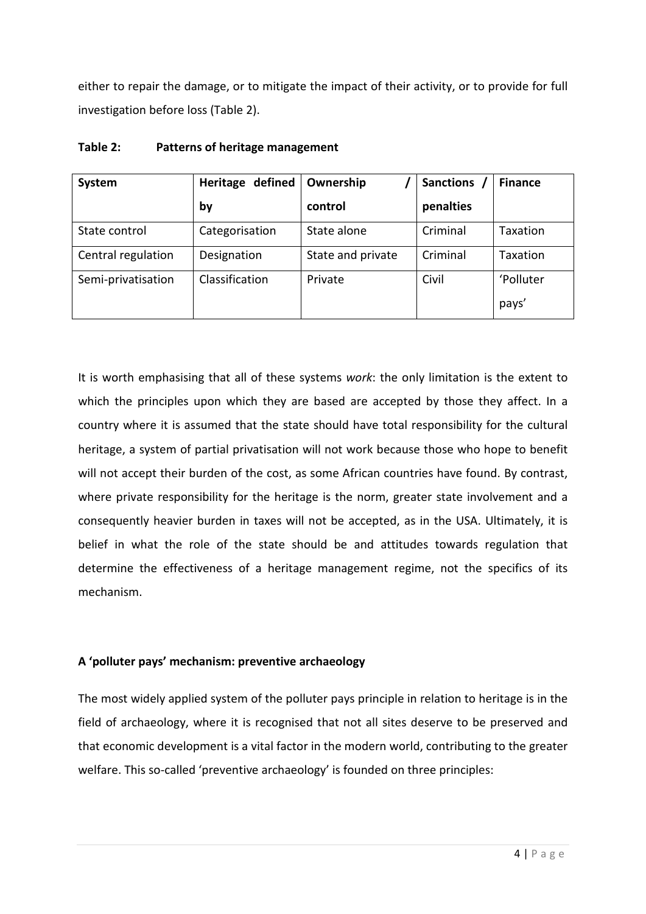either to repair the damage, or to mitigate the impact of their activity, or to provide for full investigation before loss (Table 2).

| System             | defined<br>Heritage | Ownership         | <b>Sanctions</b> | <b>Finance</b>     |
|--------------------|---------------------|-------------------|------------------|--------------------|
|                    | by                  | control           | penalties        |                    |
| State control      | Categorisation      | State alone       | Criminal         | Taxation           |
| Central regulation | Designation         | State and private | Criminal         | Taxation           |
| Semi-privatisation | Classification      | Private           | Civil            | 'Polluter<br>pays' |

#### **Table 2: Patterns of heritage management**

It is worth emphasising that all of these systems *work*: the only limitation is the extent to which the principles upon which they are based are accepted by those they affect. In a country where it is assumed that the state should have total responsibility for the cultural heritage, a system of partial privatisation will not work because those who hope to benefit will not accept their burden of the cost, as some African countries have found. By contrast, where private responsibility for the heritage is the norm, greater state involvement and a consequently heavier burden in taxes will not be accepted, as in the USA. Ultimately, it is belief in what the role of the state should be and attitudes towards regulation that determine the effectiveness of a heritage management regime, not the specifics of its mechanism.

### **A 'polluter pays' mechanism: preventive archaeology**

The most widely applied system of the polluter pays principle in relation to heritage is in the field of archaeology, where it is recognised that not all sites deserve to be preserved and that economic development is a vital factor in the modern world, contributing to the greater welfare. This so-called 'preventive archaeology' is founded on three principles: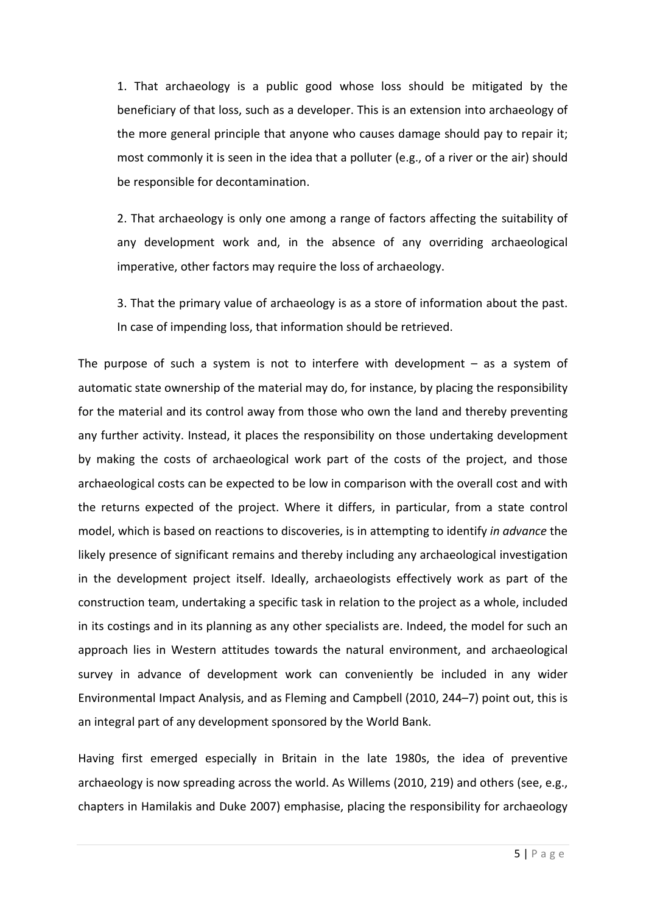1. That archaeology is a public good whose loss should be mitigated by the beneficiary of that loss, such as a developer. This is an extension into archaeology of the more general principle that anyone who causes damage should pay to repair it; most commonly it is seen in the idea that a polluter (e.g., of a river or the air) should be responsible for decontamination.

2. That archaeology is only one among a range of factors affecting the suitability of any development work and, in the absence of any overriding archaeological imperative, other factors may require the loss of archaeology.

3. That the primary value of archaeology is as a store of information about the past. In case of impending loss, that information should be retrieved.

The purpose of such a system is not to interfere with development  $-$  as a system of automatic state ownership of the material may do, for instance, by placing the responsibility for the material and its control away from those who own the land and thereby preventing any further activity. Instead, it places the responsibility on those undertaking development by making the costs of archaeological work part of the costs of the project, and those archaeological costs can be expected to be low in comparison with the overall cost and with the returns expected of the project. Where it differs, in particular, from a state control model, which is based on reactions to discoveries, is in attempting to identify *in advance* the likely presence of significant remains and thereby including any archaeological investigation in the development project itself. Ideally, archaeologists effectively work as part of the construction team, undertaking a specific task in relation to the project as a whole, included in its costings and in its planning as any other specialists are. Indeed, the model for such an approach lies in Western attitudes towards the natural environment, and archaeological survey in advance of development work can conveniently be included in any wider Environmental Impact Analysis, and as Fleming and Campbell (2010, 244–7) point out, this is an integral part of any development sponsored by the World Bank.

Having first emerged especially in Britain in the late 1980s, the idea of preventive archaeology is now spreading across the world. As Willems (2010, 219) and others (see, e.g., chapters in Hamilakis and Duke 2007) emphasise, placing the responsibility for archaeology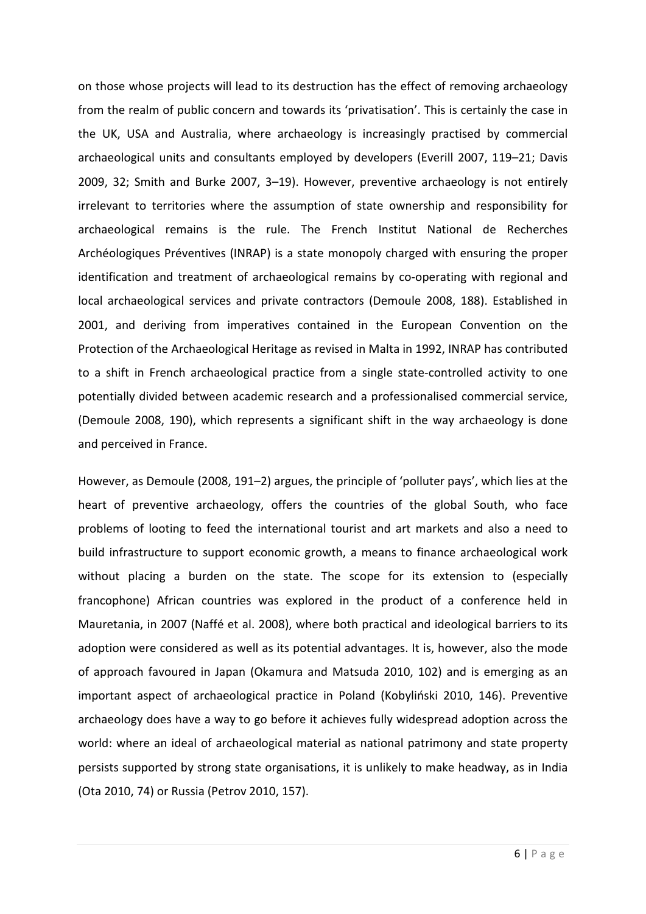on those whose projects will lead to its destruction has the effect of removing archaeology from the realm of public concern and towards its 'privatisation'. This is certainly the case in the UK, USA and Australia, where archaeology is increasingly practised by commercial archaeological units and consultants employed by developers (Everill 2007, 119–21; Davis 2009, 32; Smith and Burke 2007, 3–19). However, preventive archaeology is not entirely irrelevant to territories where the assumption of state ownership and responsibility for archaeological remains is the rule. The French Institut National de Recherches Archéologiques Préventives (INRAP) is a state monopoly charged with ensuring the proper identification and treatment of archaeological remains by co-operating with regional and local archaeological services and private contractors (Demoule 2008, 188). Established in 2001, and deriving from imperatives contained in the European Convention on the Protection of the Archaeological Heritage as revised in Malta in 1992, INRAP has contributed to a shift in French archaeological practice from a single state-controlled activity to one potentially divided between academic research and a professionalised commercial service, (Demoule 2008, 190), which represents a significant shift in the way archaeology is done and perceived in France.

However, as Demoule (2008, 191–2) argues, the principle of 'polluter pays', which lies at the heart of preventive archaeology, offers the countries of the global South, who face problems of looting to feed the international tourist and art markets and also a need to build infrastructure to support economic growth, a means to finance archaeological work without placing a burden on the state. The scope for its extension to (especially francophone) African countries was explored in the product of a conference held in Mauretania, in 2007 (Naffé et al. 2008), where both practical and ideological barriers to its adoption were considered as well as its potential advantages. It is, however, also the mode of approach favoured in Japan (Okamura and Matsuda 2010, 102) and is emerging as an important aspect of archaeological practice in Poland (Kobyliński 2010, 146). Preventive archaeology does have a way to go before it achieves fully widespread adoption across the world: where an ideal of archaeological material as national patrimony and state property persists supported by strong state organisations, it is unlikely to make headway, as in India (Ota 2010, 74) or Russia (Petrov 2010, 157).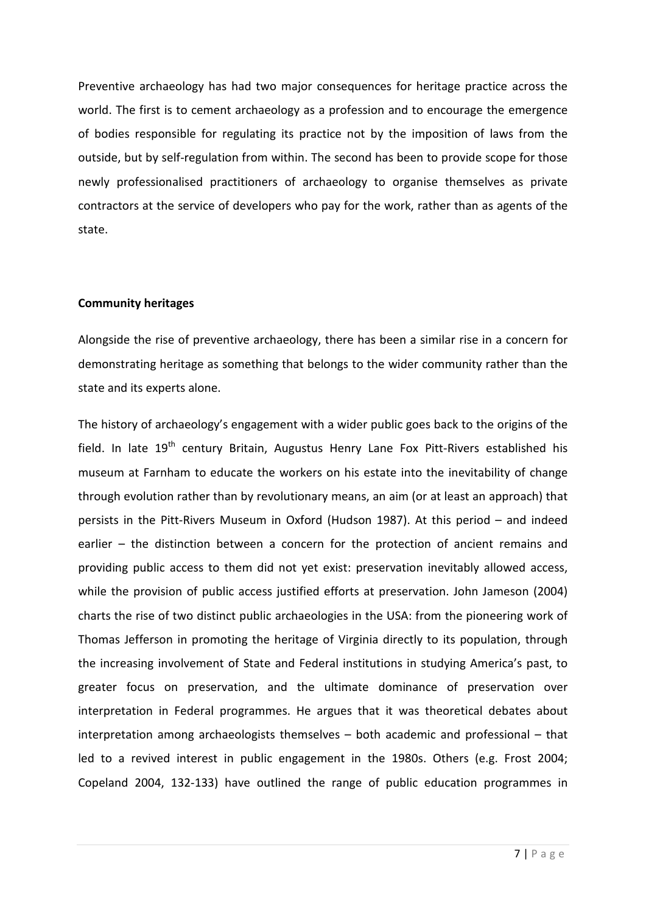Preventive archaeology has had two major consequences for heritage practice across the world. The first is to cement archaeology as a profession and to encourage the emergence of bodies responsible for regulating its practice not by the imposition of laws from the outside, but by self-regulation from within. The second has been to provide scope for those newly professionalised practitioners of archaeology to organise themselves as private contractors at the service of developers who pay for the work, rather than as agents of the state.

#### **Community heritages**

Alongside the rise of preventive archaeology, there has been a similar rise in a concern for demonstrating heritage as something that belongs to the wider community rather than the state and its experts alone.

The history of archaeology's engagement with a wider public goes back to the origins of the field. In late  $19<sup>th</sup>$  century Britain, Augustus Henry Lane Fox Pitt-Rivers established his museum at Farnham to educate the workers on his estate into the inevitability of change through evolution rather than by revolutionary means, an aim (or at least an approach) that persists in the Pitt-Rivers Museum in Oxford (Hudson 1987). At this period – and indeed earlier – the distinction between a concern for the protection of ancient remains and providing public access to them did not yet exist: preservation inevitably allowed access, while the provision of public access justified efforts at preservation. John Jameson (2004) charts the rise of two distinct public archaeologies in the USA: from the pioneering work of Thomas Jefferson in promoting the heritage of Virginia directly to its population, through the increasing involvement of State and Federal institutions in studying America's past, to greater focus on preservation, and the ultimate dominance of preservation over interpretation in Federal programmes. He argues that it was theoretical debates about interpretation among archaeologists themselves – both academic and professional – that led to a revived interest in public engagement in the 1980s. Others (e.g. Frost 2004; Copeland 2004, 132-133) have outlined the range of public education programmes in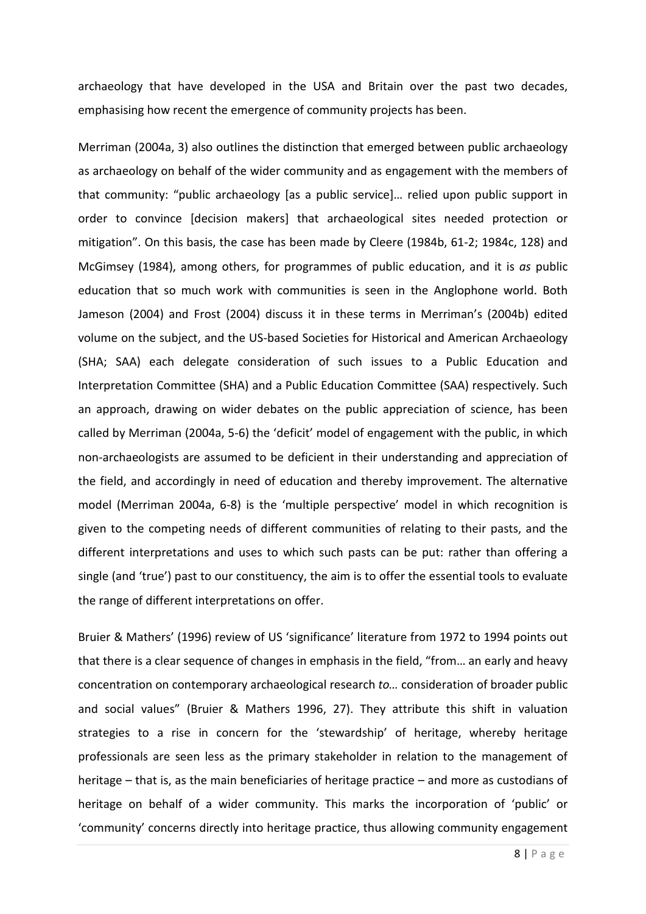archaeology that have developed in the USA and Britain over the past two decades, emphasising how recent the emergence of community projects has been.

Merriman (2004a, 3) also outlines the distinction that emerged between public archaeology as archaeology on behalf of the wider community and as engagement with the members of that community: "public archaeology [as a public service]… relied upon public support in order to convince [decision makers] that archaeological sites needed protection or mitigation". On this basis, the case has been made by Cleere (1984b, 61-2; 1984c, 128) and McGimsey (1984), among others, for programmes of public education, and it is *as* public education that so much work with communities is seen in the Anglophone world. Both Jameson (2004) and Frost (2004) discuss it in these terms in Merriman's (2004b) edited volume on the subject, and the US-based Societies for Historical and American Archaeology (SHA; SAA) each delegate consideration of such issues to a Public Education and Interpretation Committee (SHA) and a Public Education Committee (SAA) respectively. Such an approach, drawing on wider debates on the public appreciation of science, has been called by Merriman (2004a, 5-6) the 'deficit' model of engagement with the public, in which non-archaeologists are assumed to be deficient in their understanding and appreciation of the field, and accordingly in need of education and thereby improvement. The alternative model (Merriman 2004a, 6-8) is the 'multiple perspective' model in which recognition is given to the competing needs of different communities of relating to their pasts, and the different interpretations and uses to which such pasts can be put: rather than offering a single (and 'true') past to our constituency, the aim is to offer the essential tools to evaluate the range of different interpretations on offer.

Bruier & Mathers' (1996) review of US 'significance' literature from 1972 to 1994 points out that there is a clear sequence of changes in emphasis in the field, "from… an early and heavy concentration on contemporary archaeological research *to…* consideration of broader public and social values" (Bruier & Mathers 1996, 27). They attribute this shift in valuation strategies to a rise in concern for the 'stewardship' of heritage, whereby heritage professionals are seen less as the primary stakeholder in relation to the management of heritage – that is, as the main beneficiaries of heritage practice – and more as custodians of heritage on behalf of a wider community. This marks the incorporation of 'public' or 'community' concerns directly into heritage practice, thus allowing community engagement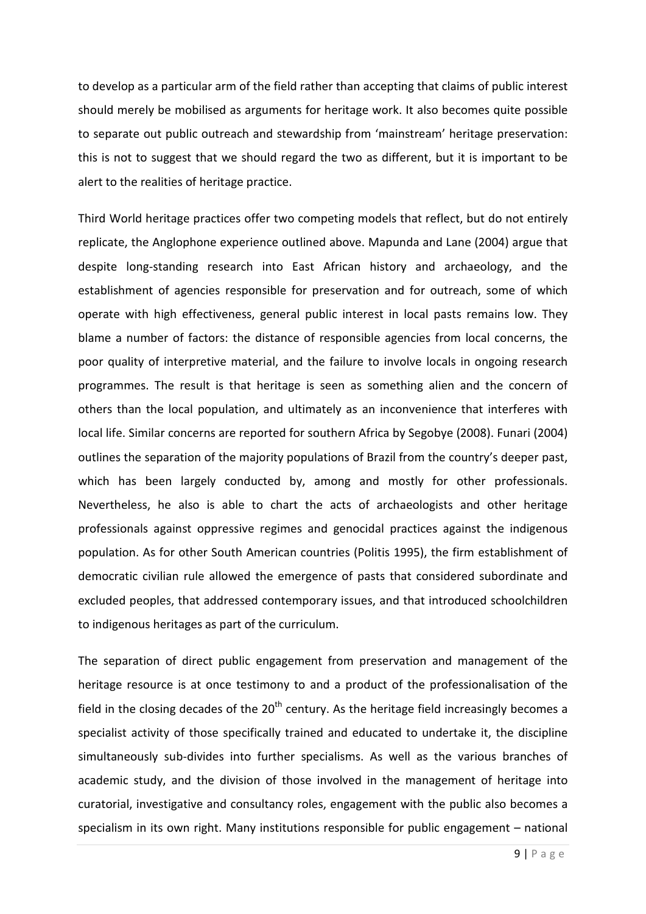to develop as a particular arm of the field rather than accepting that claims of public interest should merely be mobilised as arguments for heritage work. It also becomes quite possible to separate out public outreach and stewardship from 'mainstream' heritage preservation: this is not to suggest that we should regard the two as different, but it is important to be alert to the realities of heritage practice.

Third World heritage practices offer two competing models that reflect, but do not entirely replicate, the Anglophone experience outlined above. Mapunda and Lane (2004) argue that despite long-standing research into East African history and archaeology, and the establishment of agencies responsible for preservation and for outreach, some of which operate with high effectiveness, general public interest in local pasts remains low. They blame a number of factors: the distance of responsible agencies from local concerns, the poor quality of interpretive material, and the failure to involve locals in ongoing research programmes. The result is that heritage is seen as something alien and the concern of others than the local population, and ultimately as an inconvenience that interferes with local life. Similar concerns are reported for southern Africa by Segobye (2008). Funari (2004) outlines the separation of the majority populations of Brazil from the country's deeper past, which has been largely conducted by, among and mostly for other professionals. Nevertheless, he also is able to chart the acts of archaeologists and other heritage professionals against oppressive regimes and genocidal practices against the indigenous population. As for other South American countries (Politis 1995), the firm establishment of democratic civilian rule allowed the emergence of pasts that considered subordinate and excluded peoples, that addressed contemporary issues, and that introduced schoolchildren to indigenous heritages as part of the curriculum.

The separation of direct public engagement from preservation and management of the heritage resource is at once testimony to and a product of the professionalisation of the field in the closing decades of the  $20<sup>th</sup>$  century. As the heritage field increasingly becomes a specialist activity of those specifically trained and educated to undertake it, the discipline simultaneously sub-divides into further specialisms. As well as the various branches of academic study, and the division of those involved in the management of heritage into curatorial, investigative and consultancy roles, engagement with the public also becomes a specialism in its own right. Many institutions responsible for public engagement – national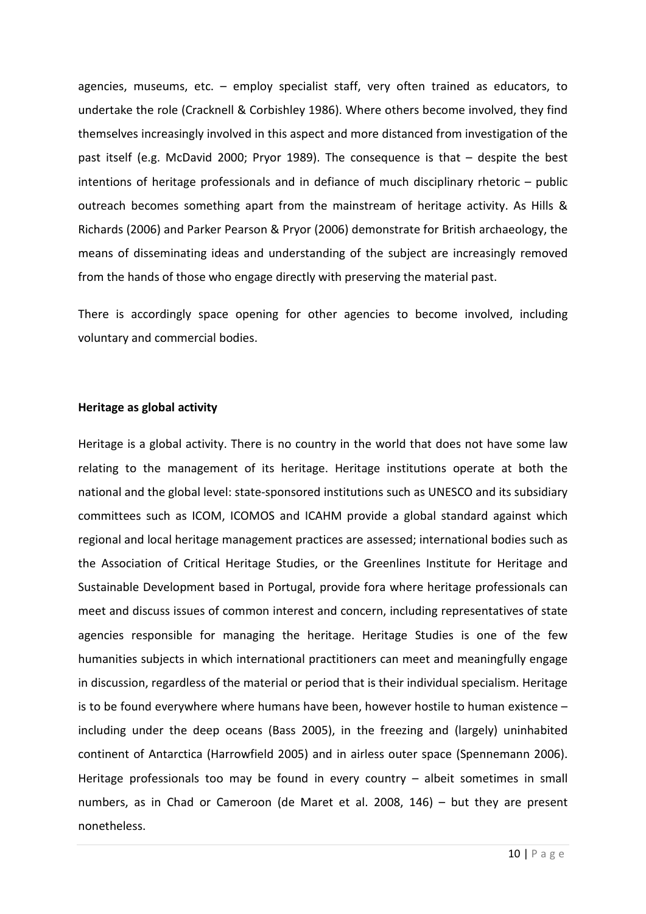agencies, museums, etc. – employ specialist staff, very often trained as educators, to undertake the role (Cracknell & Corbishley 1986). Where others become involved, they find themselves increasingly involved in this aspect and more distanced from investigation of the past itself (e.g. McDavid 2000; Pryor 1989). The consequence is that – despite the best intentions of heritage professionals and in defiance of much disciplinary rhetoric – public outreach becomes something apart from the mainstream of heritage activity. As Hills & Richards (2006) and Parker Pearson & Pryor (2006) demonstrate for British archaeology, the means of disseminating ideas and understanding of the subject are increasingly removed from the hands of those who engage directly with preserving the material past.

There is accordingly space opening for other agencies to become involved, including voluntary and commercial bodies.

#### **Heritage as global activity**

Heritage is a global activity. There is no country in the world that does not have some law relating to the management of its heritage. Heritage institutions operate at both the national and the global level: state-sponsored institutions such as UNESCO and its subsidiary committees such as ICOM, ICOMOS and ICAHM provide a global standard against which regional and local heritage management practices are assessed; international bodies such as the Association of Critical Heritage Studies, or the Greenlines Institute for Heritage and Sustainable Development based in Portugal, provide fora where heritage professionals can meet and discuss issues of common interest and concern, including representatives of state agencies responsible for managing the heritage. Heritage Studies is one of the few humanities subjects in which international practitioners can meet and meaningfully engage in discussion, regardless of the material or period that is their individual specialism. Heritage is to be found everywhere where humans have been, however hostile to human existence – including under the deep oceans (Bass 2005), in the freezing and (largely) uninhabited continent of Antarctica (Harrowfield 2005) and in airless outer space (Spennemann 2006). Heritage professionals too may be found in every country – albeit sometimes in small numbers, as in Chad or Cameroon (de Maret et al. 2008, 146) – but they are present nonetheless.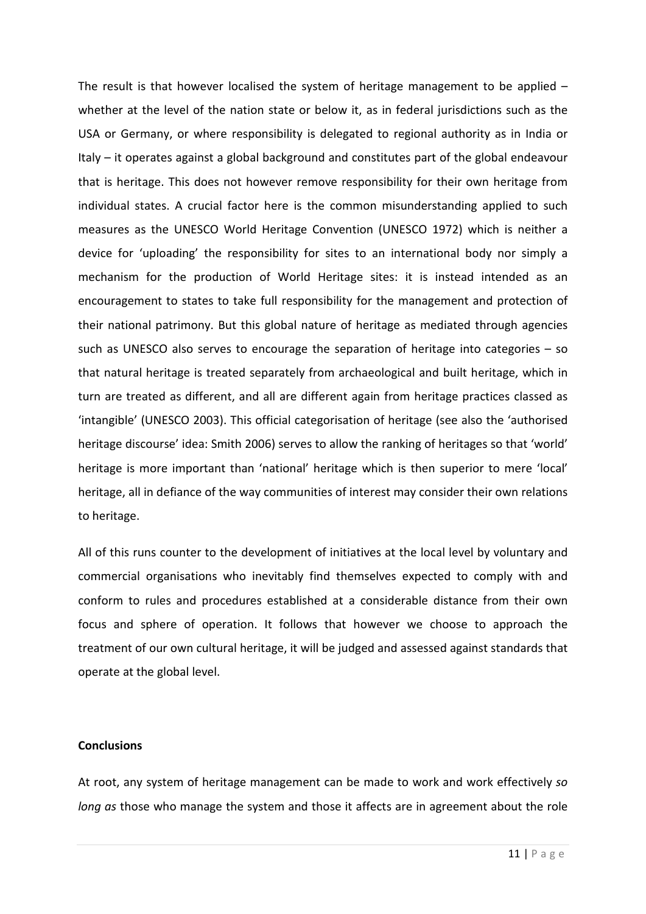The result is that however localised the system of heritage management to be applied  $$ whether at the level of the nation state or below it, as in federal jurisdictions such as the USA or Germany, or where responsibility is delegated to regional authority as in India or Italy – it operates against a global background and constitutes part of the global endeavour that is heritage. This does not however remove responsibility for their own heritage from individual states. A crucial factor here is the common misunderstanding applied to such measures as the UNESCO World Heritage Convention (UNESCO 1972) which is neither a device for 'uploading' the responsibility for sites to an international body nor simply a mechanism for the production of World Heritage sites: it is instead intended as an encouragement to states to take full responsibility for the management and protection of their national patrimony. But this global nature of heritage as mediated through agencies such as UNESCO also serves to encourage the separation of heritage into categories – so that natural heritage is treated separately from archaeological and built heritage, which in turn are treated as different, and all are different again from heritage practices classed as 'intangible' (UNESCO 2003). This official categorisation of heritage (see also the 'authorised heritage discourse' idea: Smith 2006) serves to allow the ranking of heritages so that 'world' heritage is more important than 'national' heritage which is then superior to mere 'local' heritage, all in defiance of the way communities of interest may consider their own relations to heritage.

All of this runs counter to the development of initiatives at the local level by voluntary and commercial organisations who inevitably find themselves expected to comply with and conform to rules and procedures established at a considerable distance from their own focus and sphere of operation. It follows that however we choose to approach the treatment of our own cultural heritage, it will be judged and assessed against standards that operate at the global level.

#### **Conclusions**

At root, any system of heritage management can be made to work and work effectively *so long as* those who manage the system and those it affects are in agreement about the role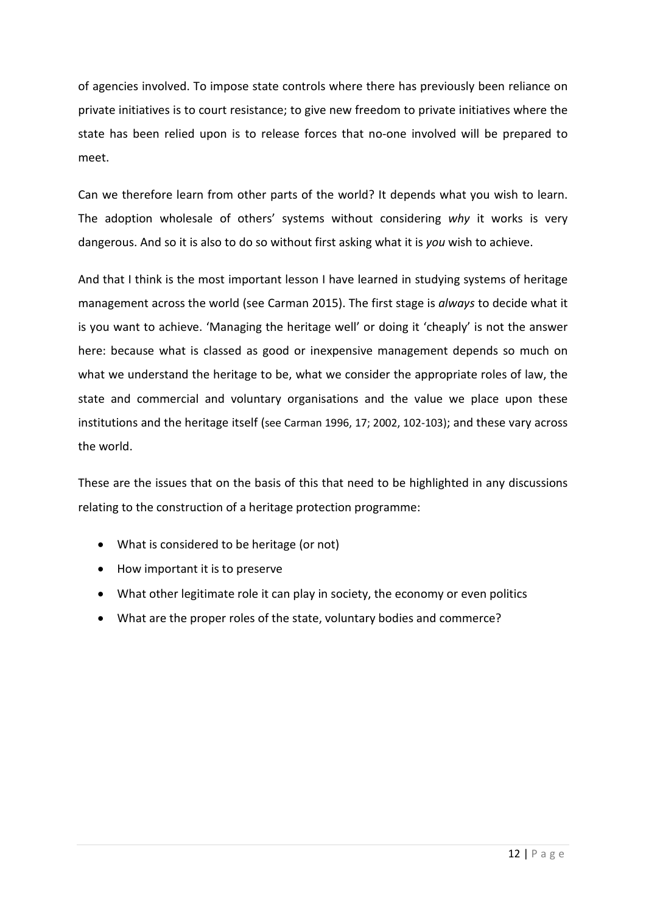of agencies involved. To impose state controls where there has previously been reliance on private initiatives is to court resistance; to give new freedom to private initiatives where the state has been relied upon is to release forces that no-one involved will be prepared to meet.

Can we therefore learn from other parts of the world? It depends what you wish to learn. The adoption wholesale of others' systems without considering *why* it works is very dangerous. And so it is also to do so without first asking what it is *you* wish to achieve.

And that I think is the most important lesson I have learned in studying systems of heritage management across the world (see Carman 2015). The first stage is *always* to decide what it is you want to achieve. 'Managing the heritage well' or doing it 'cheaply' is not the answer here: because what is classed as good or inexpensive management depends so much on what we understand the heritage to be, what we consider the appropriate roles of law, the state and commercial and voluntary organisations and the value we place upon these institutions and the heritage itself (see Carman 1996, 17; 2002, 102-103); and these vary across the world.

These are the issues that on the basis of this that need to be highlighted in any discussions relating to the construction of a heritage protection programme:

- What is considered to be heritage (or not)
- How important it is to preserve
- What other legitimate role it can play in society, the economy or even politics
- What are the proper roles of the state, voluntary bodies and commerce?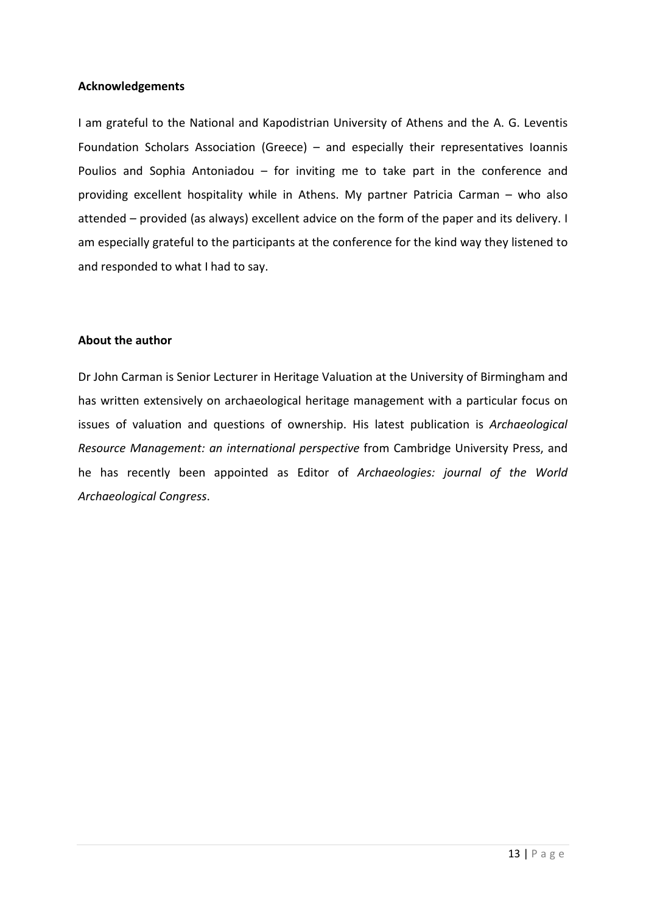#### **Acknowledgements**

I am grateful to the National and Kapodistrian University of Athens and the A. G. Leventis Foundation Scholars Association (Greece) – and especially their representatives Ioannis Poulios and Sophia Antoniadou – for inviting me to take part in the conference and providing excellent hospitality while in Athens. My partner Patricia Carman – who also attended – provided (as always) excellent advice on the form of the paper and its delivery. I am especially grateful to the participants at the conference for the kind way they listened to and responded to what I had to say.

#### **About the author**

Dr John Carman is Senior Lecturer in Heritage Valuation at the University of Birmingham and has written extensively on archaeological heritage management with a particular focus on issues of valuation and questions of ownership. His latest publication is *Archaeological Resource Management: an international perspective* from Cambridge University Press, and he has recently been appointed as Editor of *Archaeologies: journal of the World Archaeological Congress*.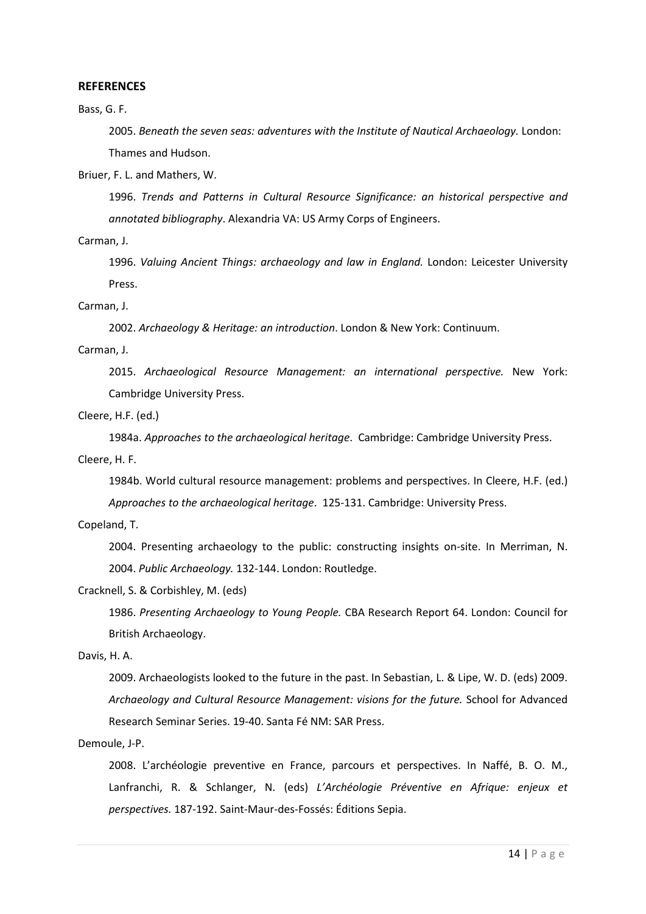#### **REFERENCES**

Bass, G. F.

2005. *Beneath the seven seas: adventures with the Institute of Nautical Archaeology.* London: Thames and Hudson.

Briuer, F. L. and Mathers, W.

1996. *Trends and Patterns in Cultural Resource Significance: an historical perspective and annotated bibliography*. Alexandria VA: US Army Corps of Engineers.

Carman, J.

1996. *Valuing Ancient Things: archaeology and law in England.* London: Leicester University Press.

Carman, J.

2002. *Archaeology & Heritage: an introduction*. London & New York: Continuum.

Carman, J.

2015. *Archaeological Resource Management: an international perspective.* New York: Cambridge University Press.

Cleere, H.F. (ed.)

1984a. *Approaches to the archaeological heritage*. Cambridge: Cambridge University Press.

Cleere, H. F.

1984b. World cultural resource management: problems and perspectives. In Cleere, H.F. (ed.) *Approaches to the archaeological heritage*. 125-131. Cambridge: University Press.

Copeland, T.

2004. Presenting archaeology to the public: constructing insights on-site. In Merriman, N. 2004. *Public Archaeology.* 132-144. London: Routledge.

Cracknell, S. & Corbishley, M. (eds)

1986. *Presenting Archaeology to Young People.* CBA Research Report 64. London: Council for British Archaeology.

Davis, H. A.

2009. Archaeologists looked to the future in the past. In Sebastian, L. & Lipe, W. D. (eds) 2009. *Archaeology and Cultural Resource Management: visions for the future.* School for Advanced Research Seminar Series. 19-40. Santa Fé NM: SAR Press.

Demoule, J-P.

2008. L'archéologie preventive en France, parcours et perspectives. In Naffé, B. O. M., Lanfranchi, R. & Schlanger, N. (eds) *L'Archéologie Préventive en Afrique: enjeux et perspectives.* 187-192. Saint-Maur-des-Fossés: Éditions Sepia.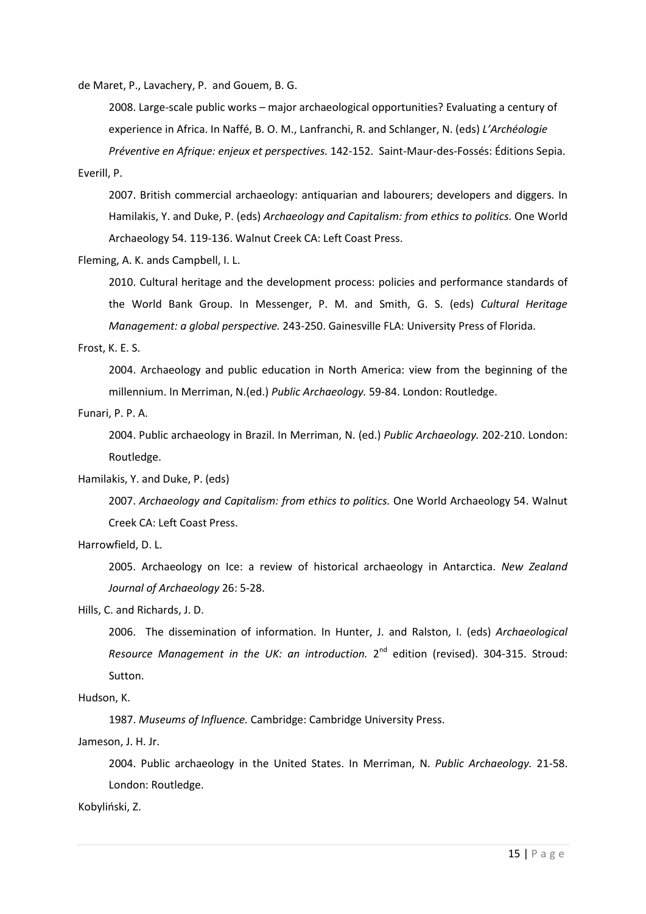de Maret, P., Lavachery, P. and Gouem, B. G.

2008. Large-scale public works – major archaeological opportunities? Evaluating a century of experience in Africa. In Naffé, B. O. M., Lanfranchi, R. and Schlanger, N. (eds) *L'Archéologie Préventive en Afrique: enjeux et perspectives.* 142-152. Saint-Maur-des-Fossés: Éditions Sepia.

Everill, P.

2007. British commercial archaeology: antiquarian and labourers; developers and diggers. In Hamilakis, Y. and Duke, P. (eds) *Archaeology and Capitalism: from ethics to politics.* One World Archaeology 54. 119-136. Walnut Creek CA: Left Coast Press.

Fleming, A. K. ands Campbell, I. L.

2010. Cultural heritage and the development process: policies and performance standards of the World Bank Group. In Messenger, P. M. and Smith, G. S. (eds) *Cultural Heritage Management: a global perspective.* 243-250. Gainesville FLA: University Press of Florida.

Frost, K. E. S.

2004. Archaeology and public education in North America: view from the beginning of the millennium. In Merriman, N.(ed.) *Public Archaeology.* 59-84. London: Routledge.

Funari, P. P. A.

2004. Public archaeology in Brazil. In Merriman, N. (ed.) *Public Archaeology.* 202-210. London: Routledge.

Hamilakis, Y. and Duke, P. (eds)

2007. *Archaeology and Capitalism: from ethics to politics.* One World Archaeology 54. Walnut Creek CA: Left Coast Press.

Harrowfield, D. L.

2005. Archaeology on Ice: a review of historical archaeology in Antarctica. *New Zealand Journal of Archaeology* 26: 5-28.

Hills, C. and Richards, J. D.

2006. The dissemination of information. In Hunter, J. and Ralston, I. (eds) *Archaeological Resource Management in the UK: an introduction.* 2<sup>nd</sup> edition (revised). 304-315. Stroud: Sutton.

Hudson, K.

1987. *Museums of Influence.* Cambridge: Cambridge University Press.

Jameson, J. H. Jr.

2004. Public archaeology in the United States. In Merriman, N. *Public Archaeology.* 21-58. London: Routledge.

Kobyliński, Z.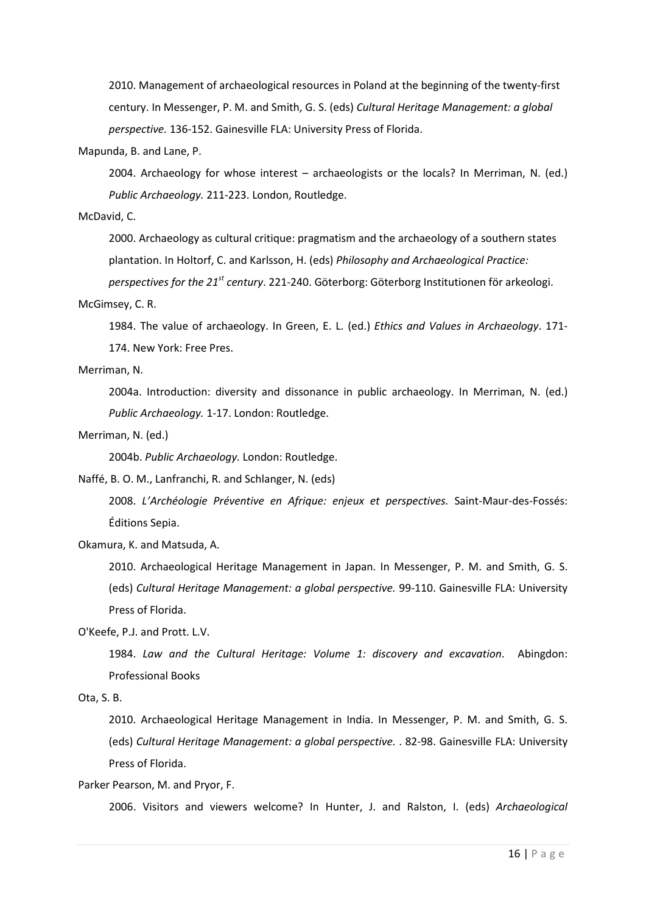2010. Management of archaeological resources in Poland at the beginning of the twenty-first century. In Messenger, P. M. and Smith, G. S. (eds) *Cultural Heritage Management: a global perspective.* 136-152. Gainesville FLA: University Press of Florida.

Mapunda, B. and Lane, P.

2004. Archaeology for whose interest – archaeologists or the locals? In Merriman, N. (ed.) *Public Archaeology.* 211-223. London, Routledge.

McDavid, C.

2000. Archaeology as cultural critique: pragmatism and the archaeology of a southern states plantation. In Holtorf, C. and Karlsson, H. (eds) *Philosophy and Archaeological Practice:* 

*perspectives for the 21st century*. 221-240. Göterborg: Göterborg Institutionen för arkeologi. McGimsey, C. R.

1984. The value of archaeology. In Green, E. L. (ed.) *Ethics and Values in Archaeology*. 171- 174. New York: Free Pres.

Merriman, N.

2004a. Introduction: diversity and dissonance in public archaeology. In Merriman, N. (ed.) *Public Archaeology.* 1-17. London: Routledge.

Merriman, N. (ed.)

2004b. *Public Archaeology.* London: Routledge.

Naffé, B. O. M., Lanfranchi, R. and Schlanger, N. (eds)

2008. *L'Archéologie Préventive en Afrique: enjeux et perspectives.* Saint-Maur-des-Fossés: Éditions Sepia.

Okamura, K. and Matsuda, A.

2010. Archaeological Heritage Management in Japan. In Messenger, P. M. and Smith, G. S. (eds) *Cultural Heritage Management: a global perspective.* 99-110. Gainesville FLA: University Press of Florida.

O'Keefe, P.J. and Prott. L.V.

1984. *Law and the Cultural Heritage: Volume 1: discovery and excavation*. Abingdon: Professional Books

Ota, S. B.

2010. Archaeological Heritage Management in India. In Messenger, P. M. and Smith, G. S. (eds) *Cultural Heritage Management: a global perspective.* . 82-98. Gainesville FLA: University Press of Florida.

Parker Pearson, M. and Pryor, F.

2006. Visitors and viewers welcome? In Hunter, J. and Ralston, I. (eds) *Archaeological*